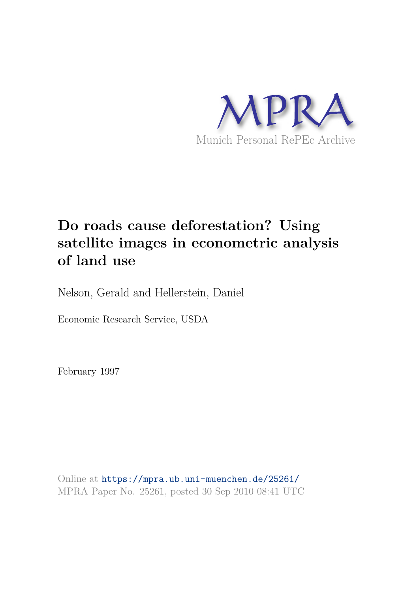

# **Do roads cause deforestation? Using satellite images in econometric analysis of land use**

Nelson, Gerald and Hellerstein, Daniel

Economic Research Service, USDA

February 1997

Online at https://mpra.ub.uni-muenchen.de/25261/ MPRA Paper No. 25261, posted 30 Sep 2010 08:41 UTC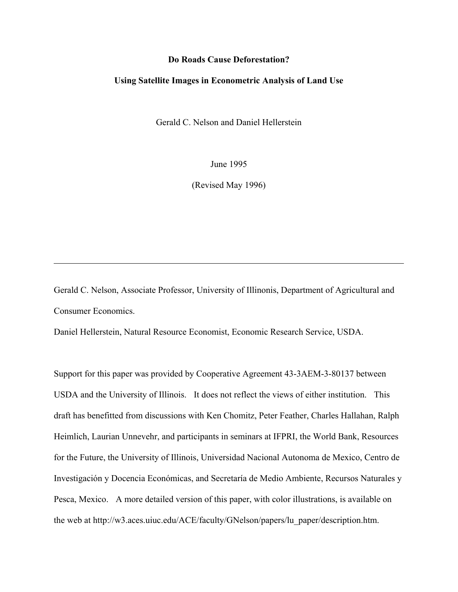#### **Do Roads Cause Deforestation?**

#### **Using Satellite Images in Econometric Analysis of Land Use**

Gerald C. Nelson and Daniel Hellerstein

June 1995

(Revised May 1996)

Gerald C. Nelson, Associate Professor, University of Illinonis, Department of Agricultural and Consumer Economics.

Daniel Hellerstein, Natural Resource Economist, Economic Research Service, USDA.

Support for this paper was provided by Cooperative Agreement 43-3AEM-3-80137 between USDA and the University of Illinois. It does not reflect the views of either institution. This draft has benefitted from discussions with Ken Chomitz, Peter Feather, Charles Hallahan, Ralph Heimlich, Laurian Unnevehr, and participants in seminars at IFPRI, the World Bank, Resources for the Future, the University of Illinois, Universidad Nacional Autonoma de Mexico, Centro de Investigación y Docencia Económicas, and Secretaría de Medio Ambiente, Recursos Naturales y Pesca, Mexico. A more detailed version of this paper, with color illustrations, is available on the web at http://w3.aces.uiuc.edu/ACE/faculty/GNelson/papers/lu\_paper/description.htm.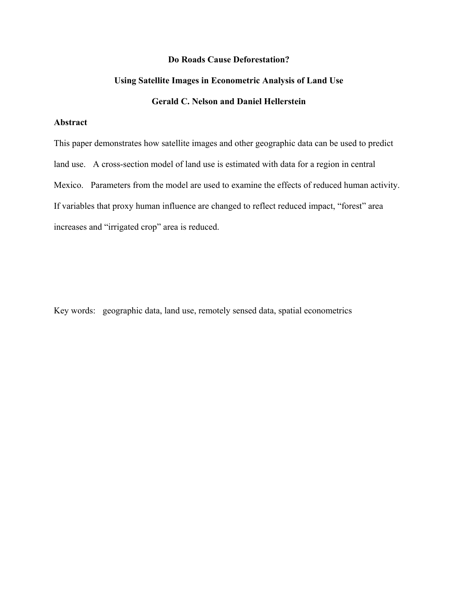### **Do Roads Cause Deforestation?**

# **Using Satellite Images in Econometric Analysis of Land Use**

# **Gerald C. Nelson and Daniel Hellerstein**

## **Abstract**

This paper demonstrates how satellite images and other geographic data can be used to predict land use. A cross-section model of land use is estimated with data for a region in central Mexico. Parameters from the model are used to examine the effects of reduced human activity. If variables that proxy human influence are changed to reflect reduced impact, "forest" area increases and "irrigated crop" area is reduced.

Key words: geographic data, land use, remotely sensed data, spatial econometrics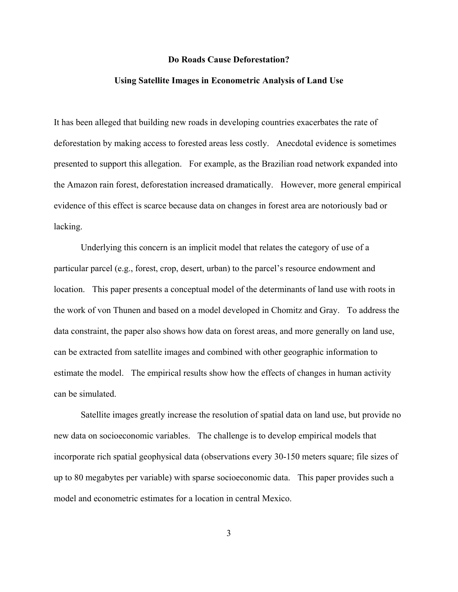#### **Do Roads Cause Deforestation?**

#### **Using Satellite Images in Econometric Analysis of Land Use**

It has been alleged that building new roads in developing countries exacerbates the rate of deforestation by making access to forested areas less costly. Anecdotal evidence is sometimes presented to support this allegation. For example, as the Brazilian road network expanded into the Amazon rain forest, deforestation increased dramatically. However, more general empirical evidence of this effect is scarce because data on changes in forest area are notoriously bad or lacking.

Underlying this concern is an implicit model that relates the category of use of a particular parcel (e.g., forest, crop, desert, urban) to the parcel's resource endowment and location. This paper presents a conceptual model of the determinants of land use with roots in the work of von Thunen and based on a model developed in Chomitz and Gray. To address the data constraint, the paper also shows how data on forest areas, and more generally on land use, can be extracted from satellite images and combined with other geographic information to estimate the model. The empirical results show how the effects of changes in human activity can be simulated.

Satellite images greatly increase the resolution of spatial data on land use, but provide no new data on socioeconomic variables. The challenge is to develop empirical models that incorporate rich spatial geophysical data (observations every 30-150 meters square; file sizes of up to 80 megabytes per variable) with sparse socioeconomic data. This paper provides such a model and econometric estimates for a location in central Mexico.

3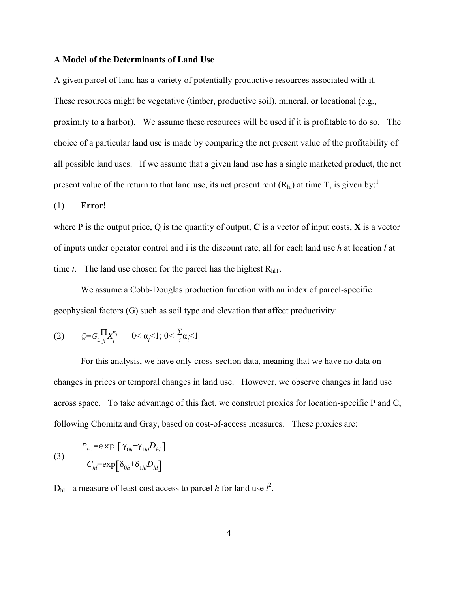#### **A Model of the Determinants of Land Use**

A given parcel of land has a variety of potentially productive resources associated with it. These resources might be vegetative (timber, productive soil), mineral, or locational (e.g., proximity to a harbor). We assume these resources will be used if it is profitable to do so. The choice of a particular land use is made by comparing the net present value of the profitability of all possible land uses. If we assume that a given land use has a single marketed product, the net present value of the return to that land use, its net present rent  $(R<sub>hl</sub>)$  at time T, is given by:<sup>1</sup>

#### (1) **Error!**

where P is the output price, Q is the quantity of output, **C** is a vector of input costs, **X** is a vector of inputs under operator control and i is the discount rate, all for each land use *h* at location *l* at time *t*. The land use chosen for the parcel has the highest  $R<sub>hIT</sub>$ .

We assume a Cobb-Douglas production function with an index of parcel-specific geophysical factors (G) such as soil type and elevation that affect productivity:

(2) 
$$
Q = G \prod_{i} X_i^{\alpha_i}
$$
  $0 < \alpha_i < 1; 0 < \sum_i \alpha_i < 1$ 

For this analysis, we have only cross-section data, meaning that we have no data on changes in prices or temporal changes in land use. However, we observe changes in land use across space. To take advantage of this fact, we construct proxies for location-specific P and C, following Chomitz and Gray, based on cost-of-access measures. These proxies are:

(3)  

$$
P_{hl} = \exp \left[ \gamma_{0h} + \gamma_{1hl} D_{hl} \right]
$$

$$
C_{hl} = \exp \left[ \delta_{0h} + \delta_{1hl} D_{hl} \right]
$$

 $D<sub>hl</sub>$  - a measure of least cost access to parcel *h* for land use  $l<sup>2</sup>$ .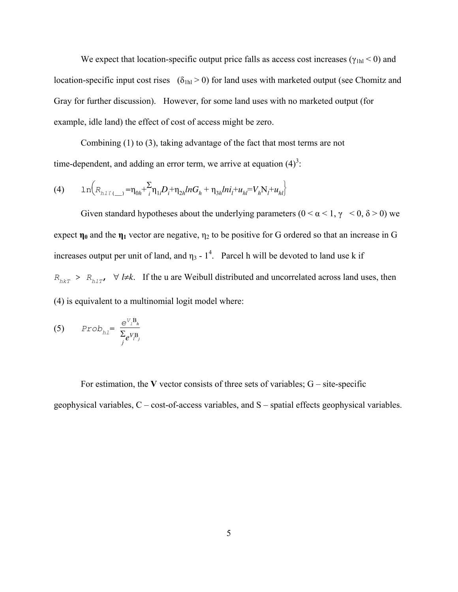We expect that location-specific output price falls as access cost increases ( $\gamma_{1h}$  < 0) and location-specific input cost rises  $(\delta_{1h} > 0)$  for land uses with marketed output (see Chomitz and Gray for further discussion). However, for some land uses with no marketed output (for example, idle land) the effect of cost of access might be zero.

Combining (1) to (3), taking advantage of the fact that most terms are not time-dependent, and adding an error term, we arrive at equation  $(4)^3$ .

(4) 
$$
\ln \left(R_{h1\tilde{t}}(t)\right) = \eta_{0h} + \frac{\Sigma}{i} \eta_{1i} D_i + \eta_{2h} ln G_h + \eta_{3h} ln i_l + u_{hl} = V_h N_l + u_{hl}
$$

Given standard hypotheses about the underlying parameters  $(0 < \alpha < 1, \gamma < 0, \delta > 0)$  we expect  $\eta_0$  and the  $\eta_1$  vector are negative,  $\eta_2$  to be positive for G ordered so that an increase in G increases output per unit of land, and  $\eta_3 - 1^4$ . Parcel h will be devoted to land use k if  $R_{h k T}$  >  $R_{h l T}$ ,  $\forall$  *l*≠*k*. If the u are Weibull distributed and uncorrelated across land uses, then (4) is equivalent to a multinomial logit model where:

$$
(5) \qquad \text{Prob}_{h1} = \frac{e^{V_1 B_h}}{\sum_{j} e^{V_j B_j}}
$$

For estimation, the **V** vector consists of three sets of variables;  $G$  – site-specific geophysical variables, C – cost-of-access variables, and S – spatial effects geophysical variables.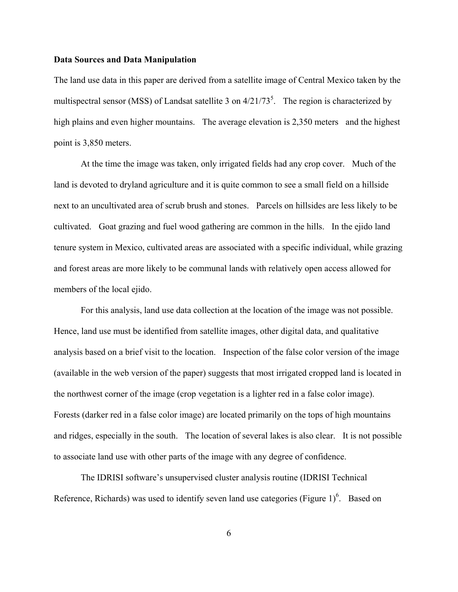#### **Data Sources and Data Manipulation**

The land use data in this paper are derived from a satellite image of Central Mexico taken by the multispectral sensor (MSS) of Landsat satellite 3 on  $4/21/73^5$ . The region is characterized by high plains and even higher mountains. The average elevation is 2,350 meters and the highest point is 3,850 meters.

At the time the image was taken, only irrigated fields had any crop cover. Much of the land is devoted to dryland agriculture and it is quite common to see a small field on a hillside next to an uncultivated area of scrub brush and stones. Parcels on hillsides are less likely to be cultivated. Goat grazing and fuel wood gathering are common in the hills. In the ejido land tenure system in Mexico, cultivated areas are associated with a specific individual, while grazing and forest areas are more likely to be communal lands with relatively open access allowed for members of the local ejido.

For this analysis, land use data collection at the location of the image was not possible. Hence, land use must be identified from satellite images, other digital data, and qualitative analysis based on a brief visit to the location. Inspection of the false color version of the image (available in the web version of the paper) suggests that most irrigated cropped land is located in the northwest corner of the image (crop vegetation is a lighter red in a false color image). Forests (darker red in a false color image) are located primarily on the tops of high mountains and ridges, especially in the south. The location of several lakes is also clear. It is not possible to associate land use with other parts of the image with any degree of confidence.

The IDRISI software's unsupervised cluster analysis routine (IDRISI Technical Reference, Richards) was used to identify seven land use categories (Figure  $1)^6$ . Based on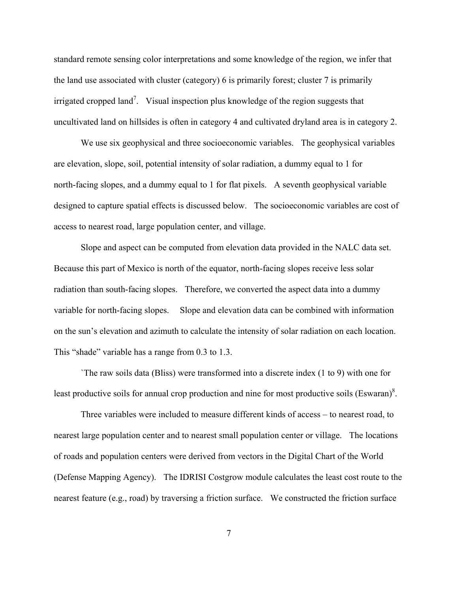standard remote sensing color interpretations and some knowledge of the region, we infer that the land use associated with cluster (category) 6 is primarily forest; cluster 7 is primarily irrigated cropped land<sup>7</sup>. Visual inspection plus knowledge of the region suggests that uncultivated land on hillsides is often in category 4 and cultivated dryland area is in category 2.

We use six geophysical and three socioeconomic variables. The geophysical variables are elevation, slope, soil, potential intensity of solar radiation, a dummy equal to 1 for north-facing slopes, and a dummy equal to 1 for flat pixels. A seventh geophysical variable designed to capture spatial effects is discussed below. The socioeconomic variables are cost of access to nearest road, large population center, and village.

Slope and aspect can be computed from elevation data provided in the NALC data set. Because this part of Mexico is north of the equator, north-facing slopes receive less solar radiation than south-facing slopes. Therefore, we converted the aspect data into a dummy variable for north-facing slopes. Slope and elevation data can be combined with information on the sun's elevation and azimuth to calculate the intensity of solar radiation on each location. This "shade" variable has a range from 0.3 to 1.3.

`The raw soils data (Bliss) were transformed into a discrete index (1 to 9) with one for least productive soils for annual crop production and nine for most productive soils (Eswaran) $8$ .

Three variables were included to measure different kinds of access – to nearest road, to nearest large population center and to nearest small population center or village. The locations of roads and population centers were derived from vectors in the Digital Chart of the World (Defense Mapping Agency). The IDRISI Costgrow module calculates the least cost route to the nearest feature (e.g., road) by traversing a friction surface. We constructed the friction surface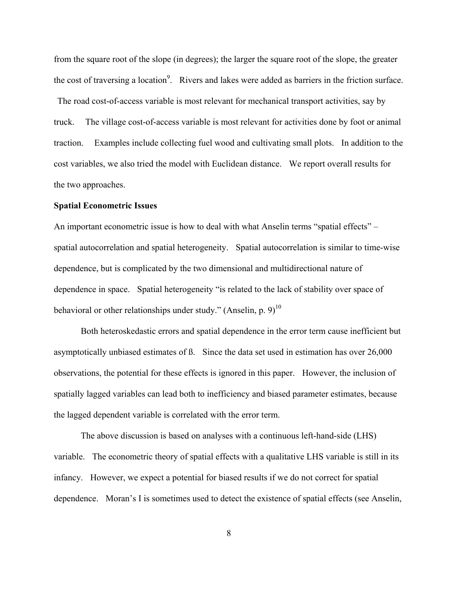from the square root of the slope (in degrees); the larger the square root of the slope, the greater the cost of traversing a location<sup>9</sup>. Rivers and lakes were added as barriers in the friction surface.

 The road cost-of-access variable is most relevant for mechanical transport activities, say by truck. The village cost-of-access variable is most relevant for activities done by foot or animal traction. Examples include collecting fuel wood and cultivating small plots. In addition to the cost variables, we also tried the model with Euclidean distance. We report overall results for the two approaches.

#### **Spatial Econometric Issues**

An important econometric issue is how to deal with what Anselin terms "spatial effects" – spatial autocorrelation and spatial heterogeneity. Spatial autocorrelation is similar to time-wise dependence, but is complicated by the two dimensional and multidirectional nature of dependence in space. Spatial heterogeneity "is related to the lack of stability over space of behavioral or other relationships under study." (Anselin, p.  $9)^{10}$ 

Both heteroskedastic errors and spatial dependence in the error term cause inefficient but asymptotically unbiased estimates of ß. Since the data set used in estimation has over 26,000 observations, the potential for these effects is ignored in this paper. However, the inclusion of spatially lagged variables can lead both to inefficiency and biased parameter estimates, because the lagged dependent variable is correlated with the error term.

The above discussion is based on analyses with a continuous left-hand-side (LHS) variable. The econometric theory of spatial effects with a qualitative LHS variable is still in its infancy. However, we expect a potential for biased results if we do not correct for spatial dependence. Moran's I is sometimes used to detect the existence of spatial effects (see Anselin,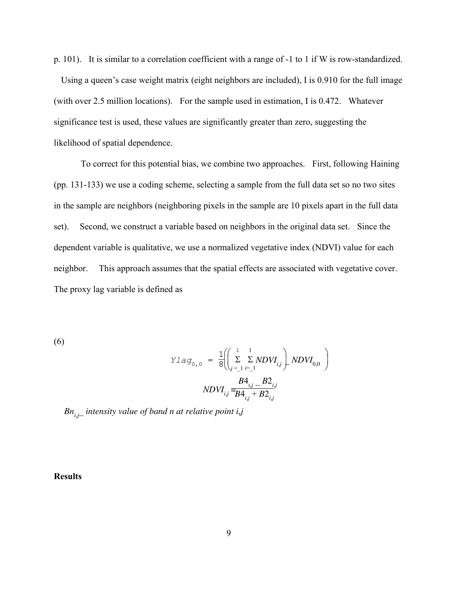p. 101). It is similar to a correlation coefficient with a range of -1 to 1 if W is row-standardized.

 Using a queen's case weight matrix (eight neighbors are included), I is 0.910 for the full image (with over 2.5 million locations). For the sample used in estimation, I is 0.472. Whatever significance test is used, these values are significantly greater than zero, suggesting the likelihood of spatial dependence.

To correct for this potential bias, we combine two approaches. First, following Haining (pp. 131-133) we use a coding scheme, selecting a sample from the full data set so no two sites in the sample are neighbors (neighboring pixels in the sample are 10 pixels apart in the full data set). Second, we construct a variable based on neighbors in the original data set. Since the dependent variable is qualitative, we use a normalized vegetative index (NDVI) value for each neighbor. This approach assumes that the spatial effects are associated with vegetative cover. The proxy lag variable is defined as

(6)

$$
\begin{array}{rcl} Ylag_{0,0} & = & \frac{1}{8} \left( \left( \sum\limits_{j=-1}^{1} \sum\limits_{i=-1}^{1} NDVI_{i,j} \right) NDVI_{0,0} \right) \\ & & \\ & & \\ NDUI_{i,j} = & \frac{B4_{i,j} - B2_{i,j}}{B4_{i,j} + B2_{i,j}} \\ \end{array}
$$

*Bn<sup>i</sup>*,*<sup>j</sup>* \_ *intensity value of band n at relative point i*,*j*

**Results**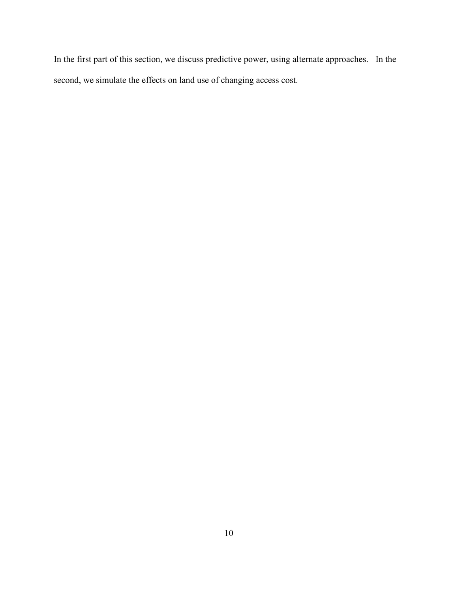In the first part of this section, we discuss predictive power, using alternate approaches. In the second, we simulate the effects on land use of changing access cost.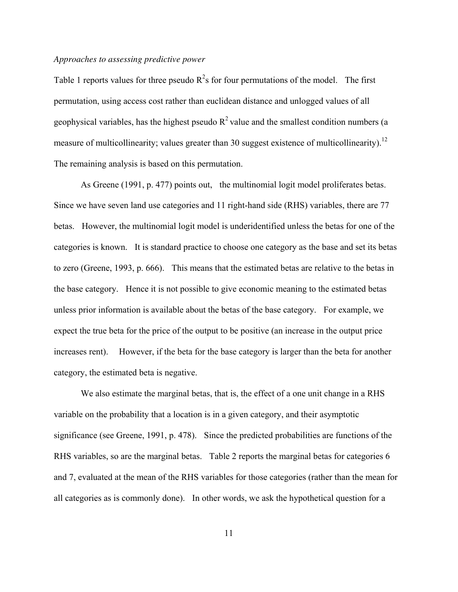#### *Approaches to assessing predictive power*

Table 1 reports values for three pseudo  $R^2$ s for four permutations of the model. The first permutation, using access cost rather than euclidean distance and unlogged values of all geophysical variables, has the highest pseudo  $R^2$  value and the smallest condition numbers (a measure of multicollinearity; values greater than 30 suggest existence of multicollinearity).<sup>12</sup> The remaining analysis is based on this permutation.

As Greene (1991, p. 477) points out, the multinomial logit model proliferates betas. Since we have seven land use categories and 11 right-hand side (RHS) variables, there are 77 betas. However, the multinomial logit model is underidentified unless the betas for one of the categories is known. It is standard practice to choose one category as the base and set its betas to zero (Greene, 1993, p. 666). This means that the estimated betas are relative to the betas in the base category. Hence it is not possible to give economic meaning to the estimated betas unless prior information is available about the betas of the base category. For example, we expect the true beta for the price of the output to be positive (an increase in the output price increases rent). However, if the beta for the base category is larger than the beta for another category, the estimated beta is negative.

We also estimate the marginal betas, that is, the effect of a one unit change in a RHS variable on the probability that a location is in a given category, and their asymptotic significance (see Greene, 1991, p. 478). Since the predicted probabilities are functions of the RHS variables, so are the marginal betas. Table 2 reports the marginal betas for categories 6 and 7, evaluated at the mean of the RHS variables for those categories (rather than the mean for all categories as is commonly done). In other words, we ask the hypothetical question for a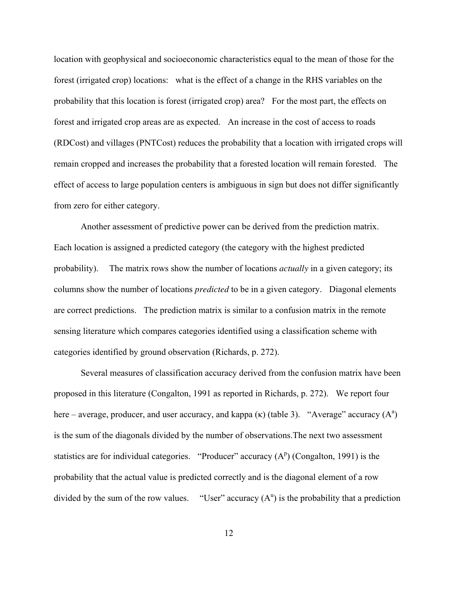location with geophysical and socioeconomic characteristics equal to the mean of those for the forest (irrigated crop) locations: what is the effect of a change in the RHS variables on the probability that this location is forest (irrigated crop) area? For the most part, the effects on forest and irrigated crop areas are as expected. An increase in the cost of access to roads (RDCost) and villages (PNTCost) reduces the probability that a location with irrigated crops will remain cropped and increases the probability that a forested location will remain forested. The effect of access to large population centers is ambiguous in sign but does not differ significantly from zero for either category.

Another assessment of predictive power can be derived from the prediction matrix. Each location is assigned a predicted category (the category with the highest predicted probability). The matrix rows show the number of locations *actually* in a given category; its columns show the number of locations *predicted* to be in a given category. Diagonal elements are correct predictions. The prediction matrix is similar to a confusion matrix in the remote sensing literature which compares categories identified using a classification scheme with categories identified by ground observation (Richards, p. 272).

Several measures of classification accuracy derived from the confusion matrix have been proposed in this literature (Congalton, 1991 as reported in Richards, p. 272). We report four here – average, producer, and user accuracy, and kappa  $(\kappa)$  (table 3). "Average" accuracy  $(A^a)$ is the sum of the diagonals divided by the number of observations.The next two assessment statistics are for individual categories. "Producer" accuracy  $(A^p)$  (Congalton, 1991) is the probability that the actual value is predicted correctly and is the diagonal element of a row divided by the sum of the row values. "User" accuracy  $(A^u)$  is the probability that a prediction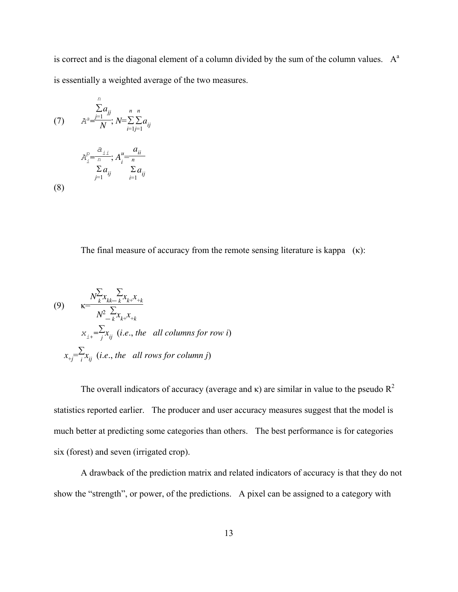is correct and is the diagonal element of a column divided by the sum of the column values.  $A<sup>a</sup>$ is essentially a weighted average of the two measures.

(7) 
$$
\sum_{i=1}^{n} a_{ij} \sum_{i=1}^{n} n_{ij}
$$

$$
A^{a} = \frac{1}{N} \sum_{i=1}^{n} N = \sum_{i=1}^{n} a_{ij}
$$

$$
A_{i}^{p} = \frac{a_{ii}}{n} \sum_{i=1}^{n} a_{ij} \sum_{i=1}^{n} a_{ij}
$$

*n*

(8)

The final measure of accuracy from the remote sensing literature is kappa  $(\kappa)$ :

(9) 
$$
\kappa = \frac{N_{k}^{\sum_{k} X_{kk-k}} x_{k+1}}{N_{-k}^2 \sum_{k} x_{k+1}} \times \sum_{i=1}^{N} x_{ij} \quad (i.e., the all columns for row i)
$$

$$
x_{+j} = \sum_{i=1}^{N} x_{ij} \quad (i.e., the all rows for column j)
$$

The overall indicators of accuracy (average and  $\kappa$ ) are similar in value to the pseudo  $R^2$ statistics reported earlier. The producer and user accuracy measures suggest that the model is much better at predicting some categories than others. The best performance is for categories six (forest) and seven (irrigated crop).

A drawback of the prediction matrix and related indicators of accuracy is that they do not show the "strength", or power, of the predictions. A pixel can be assigned to a category with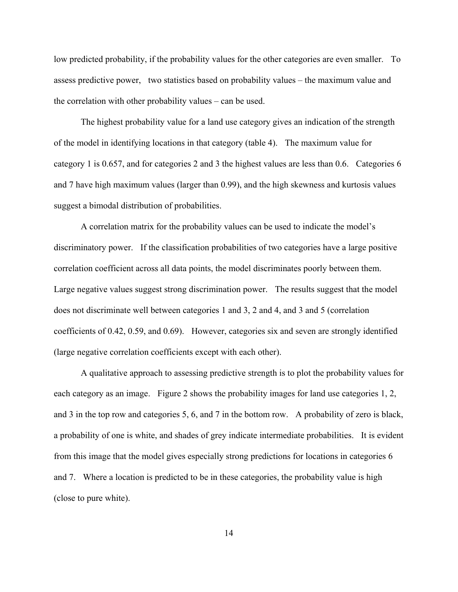low predicted probability, if the probability values for the other categories are even smaller. To assess predictive power, two statistics based on probability values – the maximum value and the correlation with other probability values – can be used.

The highest probability value for a land use category gives an indication of the strength of the model in identifying locations in that category (table 4). The maximum value for category 1 is 0.657, and for categories 2 and 3 the highest values are less than 0.6. Categories 6 and 7 have high maximum values (larger than 0.99), and the high skewness and kurtosis values suggest a bimodal distribution of probabilities.

A correlation matrix for the probability values can be used to indicate the model's discriminatory power. If the classification probabilities of two categories have a large positive correlation coefficient across all data points, the model discriminates poorly between them. Large negative values suggest strong discrimination power. The results suggest that the model does not discriminate well between categories 1 and 3, 2 and 4, and 3 and 5 (correlation coefficients of 0.42, 0.59, and 0.69). However, categories six and seven are strongly identified (large negative correlation coefficients except with each other).

A qualitative approach to assessing predictive strength is to plot the probability values for each category as an image. Figure 2 shows the probability images for land use categories 1, 2, and 3 in the top row and categories 5, 6, and 7 in the bottom row. A probability of zero is black, a probability of one is white, and shades of grey indicate intermediate probabilities. It is evident from this image that the model gives especially strong predictions for locations in categories 6 and 7. Where a location is predicted to be in these categories, the probability value is high (close to pure white).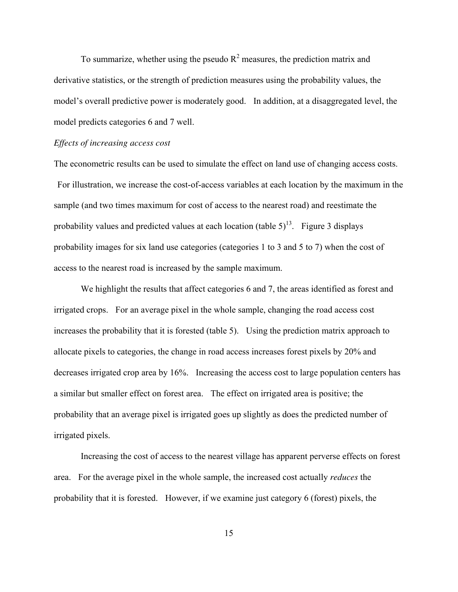To summarize, whether using the pseudo  $R<sup>2</sup>$  measures, the prediction matrix and derivative statistics, or the strength of prediction measures using the probability values, the model's overall predictive power is moderately good. In addition, at a disaggregated level, the model predicts categories 6 and 7 well.

#### *Effects of increasing access cost*

The econometric results can be used to simulate the effect on land use of changing access costs. For illustration, we increase the cost-of-access variables at each location by the maximum in the sample (and two times maximum for cost of access to the nearest road) and reestimate the probability values and predicted values at each location (table  $5)^{13}$ . Figure 3 displays probability images for six land use categories (categories 1 to 3 and 5 to 7) when the cost of access to the nearest road is increased by the sample maximum.

We highlight the results that affect categories 6 and 7, the areas identified as forest and irrigated crops. For an average pixel in the whole sample, changing the road access cost increases the probability that it is forested (table 5). Using the prediction matrix approach to allocate pixels to categories, the change in road access increases forest pixels by 20% and decreases irrigated crop area by 16%. Increasing the access cost to large population centers has a similar but smaller effect on forest area. The effect on irrigated area is positive; the probability that an average pixel is irrigated goes up slightly as does the predicted number of irrigated pixels.

Increasing the cost of access to the nearest village has apparent perverse effects on forest area. For the average pixel in the whole sample, the increased cost actually *reduces* the probability that it is forested. However, if we examine just category 6 (forest) pixels, the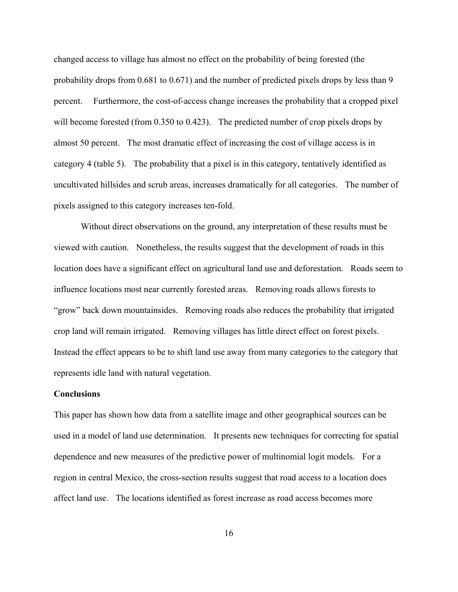changed access to village has almost no effect on the probability of being forested (the probability drops from 0.681 to 0.671) and the number of predicted pixels drops by less than 9 percent. Furthermore, the cost-of-access change increases the probability that a cropped pixel will become forested (from 0.350 to 0.423). The predicted number of crop pixels drops by almost 50 percent. The most dramatic effect of increasing the cost of village access is in category 4 (table 5). The probability that a pixel is in this category, tentatively identified as uncultivated hillsides and scrub areas, increases dramatically for all categories. The number of pixels assigned to this category increases ten-fold.

Without direct observations on the ground, any interpretation of these results must be viewed with caution. Nonetheless, the results suggest that the development of roads in this location does have a significant effect on agricultural land use and deforestation. Roads seem to influence locations most near currently forested areas. Removing roads allows forests to "grow" back down mountainsides. Removing roads also reduces the probability that irrigated crop land will remain irrigated. Removing villages has little direct effect on forest pixels. Instead the effect appears to be to shift land use away from many categories to the category that represents idle land with natural vegetation.

#### **Conclusions**

This paper has shown how data from a satellite image and other geographical sources can be used in a model of land use determination. It presents new techniques for correcting for spatial dependence and new measures of the predictive power of multinomial logit models. For a region in central Mexico, the cross-section results suggest that road access to a location does affect land use. The locations identified as forest increase as road access becomes more

16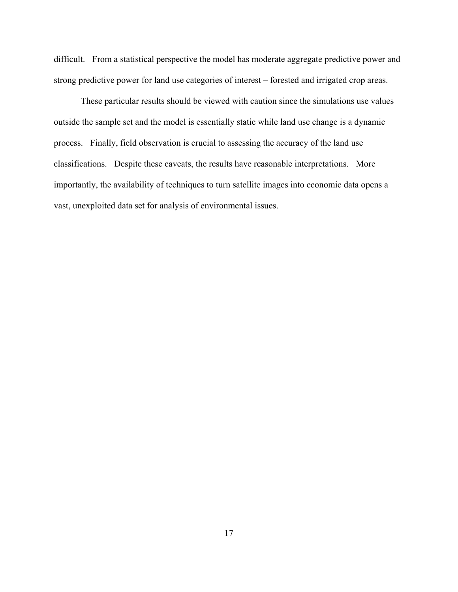difficult. From a statistical perspective the model has moderate aggregate predictive power and strong predictive power for land use categories of interest – forested and irrigated crop areas.

These particular results should be viewed with caution since the simulations use values outside the sample set and the model is essentially static while land use change is a dynamic process. Finally, field observation is crucial to assessing the accuracy of the land use classifications. Despite these caveats, the results have reasonable interpretations. More importantly, the availability of techniques to turn satellite images into economic data opens a vast, unexploited data set for analysis of environmental issues.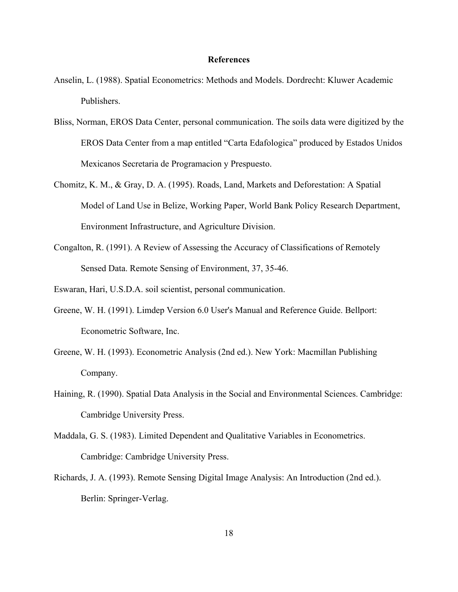#### **References**

- Anselin, L. (1988). Spatial Econometrics: Methods and Models. Dordrecht: Kluwer Academic Publishers.
- Bliss, Norman, EROS Data Center, personal communication. The soils data were digitized by the EROS Data Center from a map entitled "Carta Edafologica" produced by Estados Unidos Mexicanos Secretaria de Programacion y Prespuesto.
- Chomitz, K. M., & Gray, D. A. (1995). Roads, Land, Markets and Deforestation: A Spatial Model of Land Use in Belize, Working Paper, World Bank Policy Research Department, Environment Infrastructure, and Agriculture Division.
- Congalton, R. (1991). A Review of Assessing the Accuracy of Classifications of Remotely Sensed Data. Remote Sensing of Environment, 37, 35-46.

Eswaran, Hari, U.S.D.A. soil scientist, personal communication.

- Greene, W. H. (1991). Limdep Version 6.0 User's Manual and Reference Guide. Bellport: Econometric Software, Inc.
- Greene, W. H. (1993). Econometric Analysis (2nd ed.). New York: Macmillan Publishing Company.
- Haining, R. (1990). Spatial Data Analysis in the Social and Environmental Sciences. Cambridge: Cambridge University Press.
- Maddala, G. S. (1983). Limited Dependent and Qualitative Variables in Econometrics. Cambridge: Cambridge University Press.
- Richards, J. A. (1993). Remote Sensing Digital Image Analysis: An Introduction (2nd ed.). Berlin: Springer-Verlag.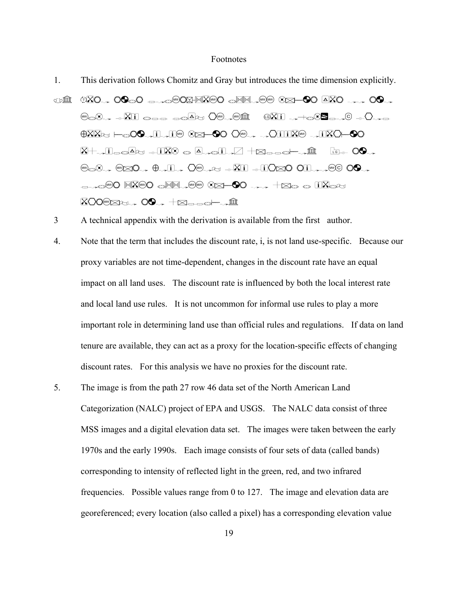#### Footnotes

- 1. This derivation follows Chomitz and Gray but introduces the time dimension explicitly.
- $\text{CDF} \quad \text{CDF} \quad \text{CDF} \quad \text{CDF} \quad \text{CDF} \quad \text{CDF} \quad \text{CDF} \quad \text{CDF} \quad \text{CDF} \quad \text{CDF} \quad \text{CDF} \quad \text{CDF} \quad \text{CDF} \quad \text{CDF} \quad \text{CDF} \quad \text{CDF} \quad \text{CDF} \quad \text{CDF} \quad \text{CDF} \quad \text{CDF} \quad \text{CDF} \quad \text{CDF} \quad \text{CDF} \quad \text{CDF} \quad \text{CDF} \quad \text{CDF} \quad \text{CDF} \quad \text{C$  $\text{C.} \rightarrow \text{C.} \rightarrow \text{C.} \rightarrow \text{C.} \rightarrow \text{C.} \rightarrow \text{C.} \rightarrow \text{C.} \rightarrow \text{C.} \rightarrow \text{C.} \rightarrow \text{C.} \rightarrow \text{C.} \rightarrow \text{C.} \rightarrow \text{C.} \rightarrow \text{C.} \rightarrow \text{C.} \rightarrow \text{C.} \rightarrow \text{C.} \rightarrow \text{C.} \rightarrow \text{C.} \rightarrow \text{C.} \rightarrow \text{C.} \rightarrow \text{C.} \rightarrow \text{C.} \rightarrow \text{C.} \rightarrow \text{C.} \rightarrow \text{C.} \rightarrow \text{C.} \rightarrow \text{C$  $\frac{\partial}{\partial x}$ ko  $\frac{\partial}{\partial y}$  ( $\frac{\partial}{\partial z}$  is  $\frac{\partial}{\partial z}$  by  $\frac{\partial}{\partial x}$  brought  $\frac{\partial}{\partial y}$  $X\rightarrow i$ leg $\Delta$ t + $i\overline{X}$ 0 g $\Delta$  oli $I\rightarrow \Box +\overline{X}$  $\mathbb{Z}$ s  $\rightarrow$   $\mathbb{Z}$  $\rightarrow$   $\oplus$   $\downarrow$   $i$   $\rightarrow$   $\mathbb{Z}$   $\rightarrow$   $\mathbb{Z}$   $\rightarrow$   $\mathbb{Z}$   $\rightarrow$   $\mathbb{Z}$   $\rightarrow$   $\mathbb{Z}$   $\rightarrow$   $\mathbb{Z}$   $\rightarrow$  $L_{\rm H}$  . The cost  $\mathbb{C}$  and  $\mathbb{C}$  $X$ 00 $X$  $\rightarrow$  00 $\rightarrow$   $+X$  $\rightarrow$   $\rightarrow$   $\hat{I}$
- 3 A technical appendix with the derivation is available from the first author.
- 4. Note that the term that includes the discount rate, i, is not land use-specific. Because our proxy variables are not time-dependent, changes in the discount rate have an equal impact on all land uses. The discount rate is influenced by both the local interest rate and local land use rules. It is not uncommon for informal use rules to play a more important role in determining land use than official rules and regulations. If data on land tenure are available, they can act as a proxy for the location-specific effects of changing discount rates. For this analysis we have no proxies for the discount rate.
- 5. The image is from the path 27 row 46 data set of the North American Land Categorization (NALC) project of EPA and USGS. The NALC data consist of three MSS images and a digital elevation data set. The images were taken between the early 1970s and the early 1990s. Each image consists of four sets of data (called bands) corresponding to intensity of reflected light in the green, red, and two infrared frequencies. Possible values range from 0 to 127. The image and elevation data are georeferenced; every location (also called a pixel) has a corresponding elevation value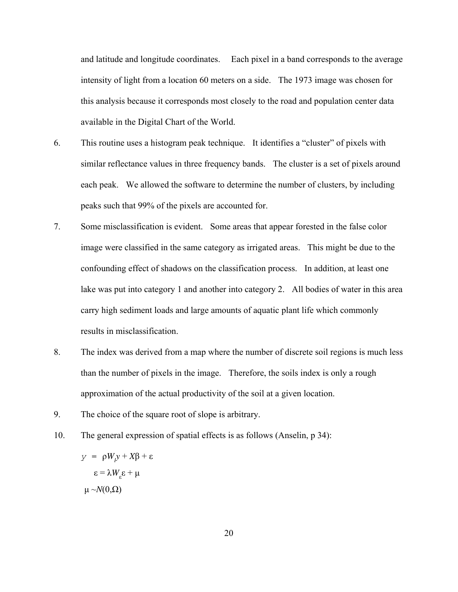and latitude and longitude coordinates. Each pixel in a band corresponds to the average intensity of light from a location 60 meters on a side. The 1973 image was chosen for this analysis because it corresponds most closely to the road and population center data available in the Digital Chart of the World.

- 6. This routine uses a histogram peak technique. It identifies a "cluster" of pixels with similar reflectance values in three frequency bands. The cluster is a set of pixels around each peak. We allowed the software to determine the number of clusters, by including peaks such that 99% of the pixels are accounted for.
- 7. Some misclassification is evident. Some areas that appear forested in the false color image were classified in the same category as irrigated areas. This might be due to the confounding effect of shadows on the classification process. In addition, at least one lake was put into category 1 and another into category 2. All bodies of water in this area carry high sediment loads and large amounts of aquatic plant life which commonly results in misclassification.
- 8. The index was derived from a map where the number of discrete soil regions is much less than the number of pixels in the image. Therefore, the soils index is only a rough approximation of the actual productivity of the soil at a given location.
- 9. The choice of the square root of slope is arbitrary.
- 10. The general expression of spatial effects is as follows (Anselin, p 34):

*y* =  $\rho$ *W<sub><i>l*</sub>*y* + *X*β + ε  $\epsilon = \lambda W_{\epsilon} \epsilon + \mu$  $\mu \sim N(0,\Omega)$